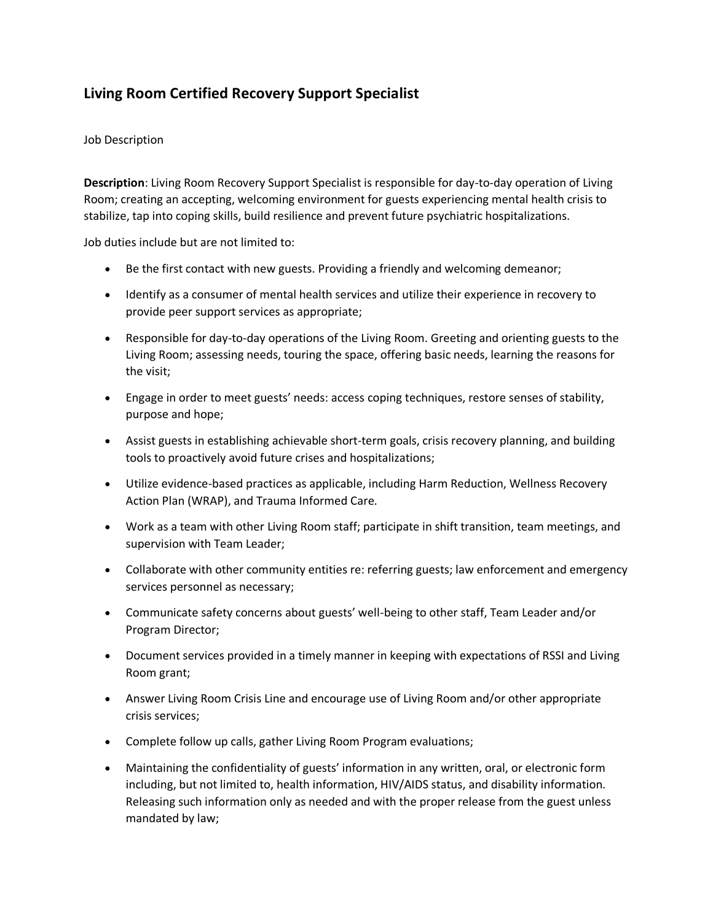## **Living Room Certified Recovery Support Specialist**

## Job Description

**Description**: Living Room Recovery Support Specialist is responsible for day-to-day operation of Living Room; creating an accepting, welcoming environment for guests experiencing mental health crisis to stabilize, tap into coping skills, build resilience and prevent future psychiatric hospitalizations.

Job duties include but are not limited to:

- Be the first contact with new guests. Providing a friendly and welcoming demeanor;
- Identify as a consumer of mental health services and utilize their experience in recovery to provide peer support services as appropriate;
- Responsible for day-to-day operations of the Living Room. Greeting and orienting guests to the Living Room; assessing needs, touring the space, offering basic needs, learning the reasons for the visit;
- Engage in order to meet guests' needs: access coping techniques, restore senses of stability, purpose and hope;
- Assist guests in establishing achievable short-term goals, crisis recovery planning, and building tools to proactively avoid future crises and hospitalizations;
- Utilize evidence-based practices as applicable, including Harm Reduction, Wellness Recovery Action Plan (WRAP), and Trauma Informed Care.
- Work as a team with other Living Room staff; participate in shift transition, team meetings, and supervision with Team Leader;
- Collaborate with other community entities re: referring guests; law enforcement and emergency services personnel as necessary;
- Communicate safety concerns about guests' well-being to other staff, Team Leader and/or Program Director;
- Document services provided in a timely manner in keeping with expectations of RSSI and Living Room grant;
- Answer Living Room Crisis Line and encourage use of Living Room and/or other appropriate crisis services;
- Complete follow up calls, gather Living Room Program evaluations;
- Maintaining the confidentiality of guests' information in any written, oral, or electronic form including, but not limited to, health information, HIV/AIDS status, and disability information. Releasing such information only as needed and with the proper release from the guest unless mandated by law;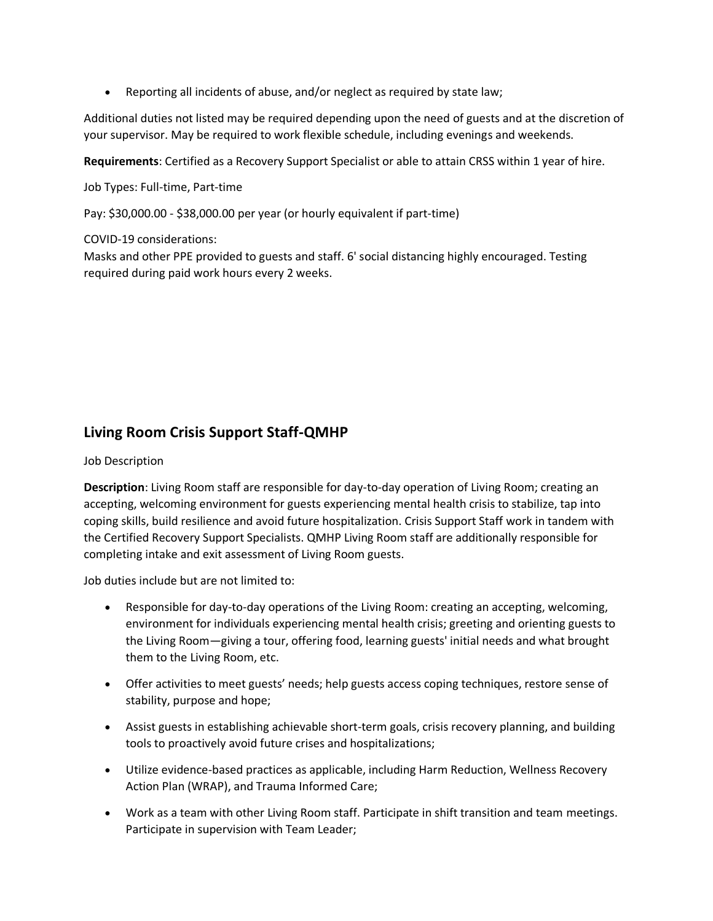Reporting all incidents of abuse, and/or neglect as required by state law;

Additional duties not listed may be required depending upon the need of guests and at the discretion of your supervisor. May be required to work flexible schedule, including evenings and weekends.

**Requirements**: Certified as a Recovery Support Specialist or able to attain CRSS within 1 year of hire.

Job Types: Full-time, Part-time

Pay: \$30,000.00 - \$38,000.00 per year (or hourly equivalent if part-time)

COVID-19 considerations:

Masks and other PPE provided to guests and staff. 6' social distancing highly encouraged. Testing required during paid work hours every 2 weeks.

## **Living Room Crisis Support Staff-QMHP**

## Job Description

**Description**: Living Room staff are responsible for day-to-day operation of Living Room; creating an accepting, welcoming environment for guests experiencing mental health crisis to stabilize, tap into coping skills, build resilience and avoid future hospitalization. Crisis Support Staff work in tandem with the Certified Recovery Support Specialists. QMHP Living Room staff are additionally responsible for completing intake and exit assessment of Living Room guests.

Job duties include but are not limited to:

- Responsible for day-to-day operations of the Living Room: creating an accepting, welcoming, environment for individuals experiencing mental health crisis; greeting and orienting guests to the Living Room—giving a tour, offering food, learning guests' initial needs and what brought them to the Living Room, etc.
- Offer activities to meet guests' needs; help guests access coping techniques, restore sense of stability, purpose and hope;
- Assist guests in establishing achievable short-term goals, crisis recovery planning, and building tools to proactively avoid future crises and hospitalizations;
- Utilize evidence-based practices as applicable, including Harm Reduction, Wellness Recovery Action Plan (WRAP), and Trauma Informed Care;
- Work as a team with other Living Room staff. Participate in shift transition and team meetings. Participate in supervision with Team Leader;